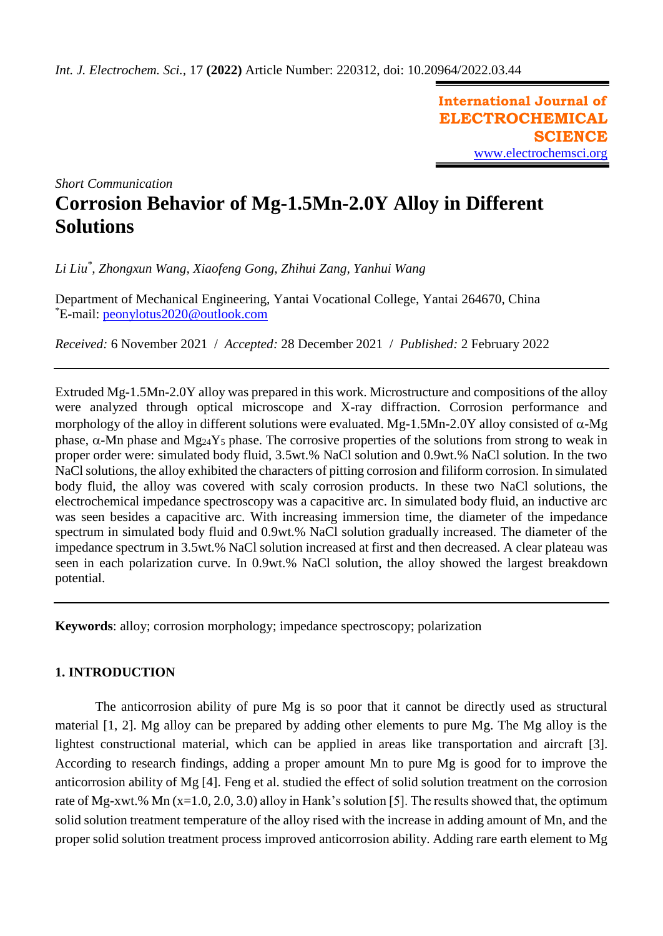**International Journal of ELECTROCHEMICAL SCIENCE** [www.electrochemsci.org](http://www.electrochemsci.org/)

*Short Communication*

# **Corrosion Behavior of Mg-1.5Mn-2.0Y Alloy in Different Solutions**

*Li Liu\* , Zhongxun Wang, Xiaofeng Gong, Zhihui Zang, Yanhui Wang*

Department of Mechanical Engineering, Yantai Vocational College, Yantai 264670, China \*E-mail: [peonylotus2020@outlook.com](mailto:peonylotus2020@outlook.com)

*Received:* 6 November 2021/ *Accepted:* 28 December 2021 / *Published:* 2 February 2022

Extruded Mg-1.5Mn-2.0Y alloy was prepared in this work. Microstructure and compositions of the alloy were analyzed through optical microscope and X-ray diffraction. Corrosion performance and morphology of the alloy in different solutions were evaluated. Mg-1.5Mn-2.0Y alloy consisted of  $\alpha$ -Mg phase,  $\alpha$ -Mn phase and Mg<sub>24</sub>Y<sub>5</sub> phase. The corrosive properties of the solutions from strong to weak in proper order were: simulated body fluid, 3.5wt.% NaCl solution and 0.9wt.% NaCl solution. In the two NaCl solutions, the alloy exhibited the characters of pitting corrosion and filiform corrosion. In simulated body fluid, the alloy was covered with scaly corrosion products. In these two NaCl solutions, the electrochemical impedance spectroscopy was a capacitive arc. In simulated body fluid, an inductive arc was seen besides a capacitive arc. With increasing immersion time, the diameter of the impedance spectrum in simulated body fluid and 0.9wt.% NaCl solution gradually increased. The diameter of the impedance spectrum in 3.5wt.% NaCl solution increased at first and then decreased. A clear plateau was seen in each polarization curve. In 0.9wt.% NaCl solution, the alloy showed the largest breakdown potential.

**Keywords**: alloy; corrosion morphology; impedance spectroscopy; polarization

### **1. INTRODUCTION**

The anticorrosion ability of pure Mg is so poor that it cannot be directly used as structural material [1, 2]. Mg alloy can be prepared by adding other elements to pure Mg. The Mg alloy is the lightest constructional material, which can be applied in areas like transportation and aircraft [3]. According to research findings, adding a proper amount Mn to pure Mg is good for to improve the anticorrosion ability of Mg [4]. Feng et al. studied the effect of solid solution treatment on the corrosion rate of Mg-xwt.% Mn (x=1.0, 2.0, 3.0) alloy in Hank's solution [5]. The results showed that, the optimum solid solution treatment temperature of the alloy rised with the increase in adding amount of Mn, and the proper solid solution treatment process improved anticorrosion ability. Adding rare earth element to Mg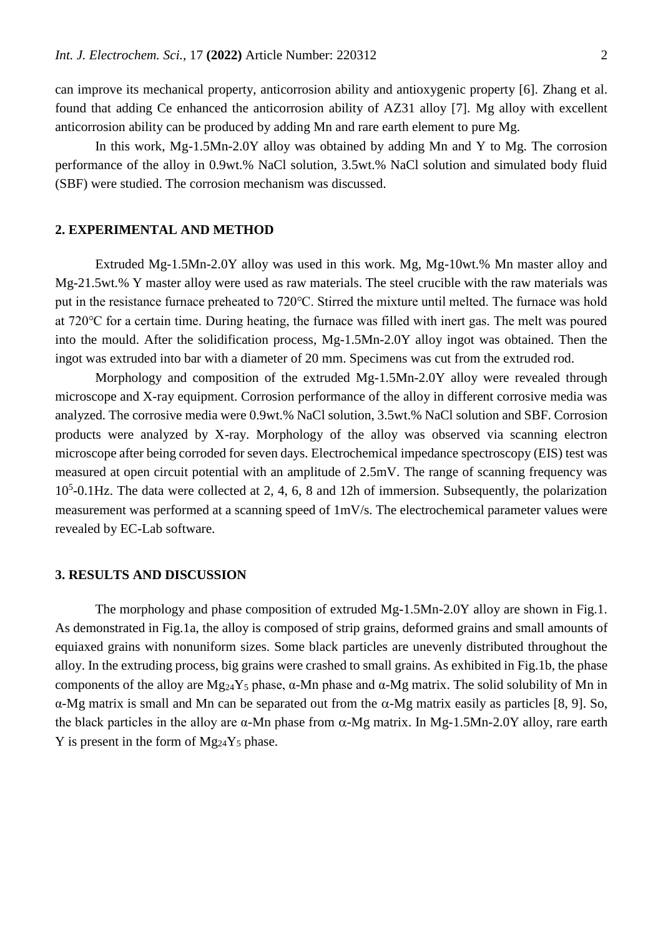can improve its mechanical property, anticorrosion ability and antioxygenic property [6]. Zhang et al. found that adding Ce enhanced the anticorrosion ability of AZ31 alloy [7]. Mg alloy with excellent anticorrosion ability can be produced by adding Mn and rare earth element to pure Mg.

In this work, Mg-1.5Mn-2.0Y alloy was obtained by adding Mn and Y to Mg. The corrosion performance of the alloy in 0.9wt.% NaCl solution, 3.5wt.% NaCl solution and simulated body fluid (SBF) were studied. The corrosion mechanism was discussed.

## **2. EXPERIMENTAL AND METHOD**

Extruded Mg-1.5Mn-2.0Y alloy was used in this work. Mg, Mg-10wt.% Mn master alloy and Mg-21.5wt.% Y master alloy were used as raw materials. The steel crucible with the raw materials was put in the resistance furnace preheated to 720℃. Stirred the mixture until melted. The furnace was hold at 720℃ for a certain time. During heating, the furnace was filled with inert gas. The melt was poured into the mould. After the solidification process, Mg-1.5Mn-2.0Y alloy ingot was obtained. Then the ingot was extruded into bar with a diameter of 20 mm. Specimens was cut from the extruded rod.

Morphology and composition of the extruded Mg-1.5Mn-2.0Y alloy were revealed through microscope and X-ray equipment. Corrosion performance of the alloy in different corrosive media was analyzed. The corrosive media were 0.9wt.% NaCl solution, 3.5wt.% NaCl solution and SBF. Corrosion products were analyzed by X-ray. Morphology of the alloy was observed via scanning electron microscope after being corroded for seven days. Electrochemical impedance spectroscopy (EIS) test was measured at open circuit potential with an amplitude of 2.5mV. The range of scanning frequency was 10<sup>5</sup> -0.1Hz. The data were collected at 2, 4, 6, 8 and 12h of immersion. Subsequently, the polarization measurement was performed at a scanning speed of 1mV/s. The electrochemical parameter values were revealed by EC-Lab software.

#### **3. RESULTS AND DISCUSSION**

The morphology and phase composition of extruded Mg-1.5Mn-2.0Y alloy are shown in Fig.1. As demonstrated in Fig.1a, the alloy is composed of strip grains, deformed grains and small amounts of equiaxed grains with nonuniform sizes. Some black particles are unevenly distributed throughout the alloy. In the extruding process, big grains were crashed to small grains. As exhibited in Fig.1b, the phase components of the alloy are  $Mg_{24}Y_5$  phase, α-Mn phase and α-Mg matrix. The solid solubility of Mn in  $α$ -Mg matrix is small and Mn can be separated out from the  $α$ -Mg matrix easily as particles [8, 9]. So, the black particles in the alloy are  $\alpha$ -Mn phase from  $\alpha$ -Mg matrix. In Mg-1.5Mn-2.0Y alloy, rare earth Y is present in the form of  $Mg_{24}Y_5$  phase.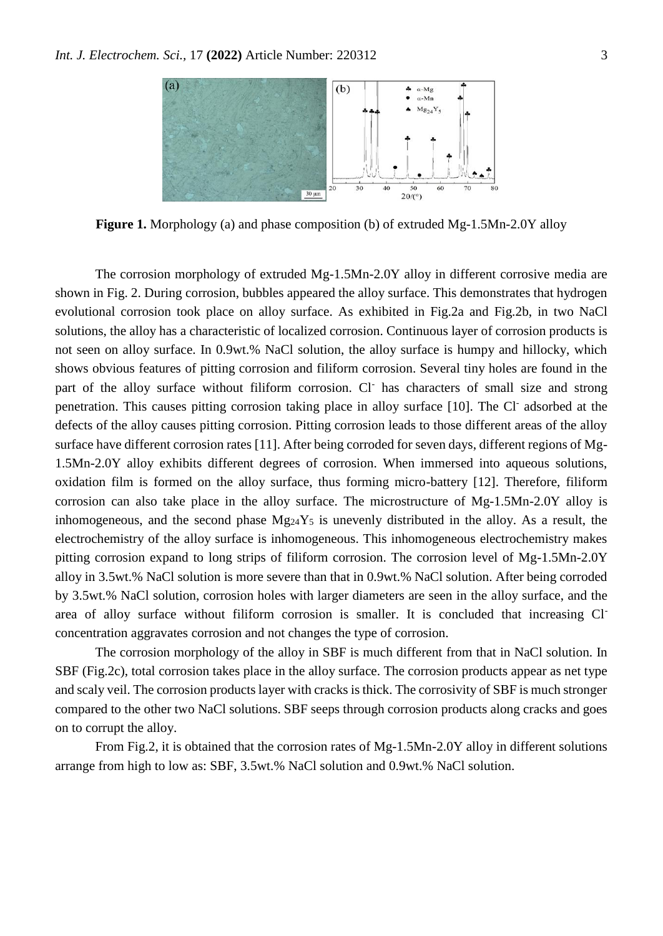

**Figure 1.** Morphology (a) and phase composition (b) of extruded Mg-1.5Mn-2.0Y alloy

The corrosion morphology of extruded Mg-1.5Mn-2.0Y alloy in different corrosive media are shown in Fig. 2. During corrosion, bubbles appeared the alloy surface. This demonstrates that hydrogen evolutional corrosion took place on alloy surface. As exhibited in Fig.2a and Fig.2b, in two NaCl solutions, the alloy has a characteristic of localized corrosion. Continuous layer of corrosion products is not seen on alloy surface. In 0.9wt.% NaCl solution, the alloy surface is humpy and hillocky, which shows obvious features of pitting corrosion and filiform corrosion. Several tiny holes are found in the part of the alloy surface without filiform corrosion. Cl has characters of small size and strong penetration. This causes pitting corrosion taking place in alloy surface [10]. The Cl adsorbed at the defects of the alloy causes pitting corrosion. Pitting corrosion leads to those different areas of the alloy surface have different corrosion rates [11]. After being corroded for seven days, different regions of Mg-1.5Mn-2.0Y alloy exhibits different degrees of corrosion. When immersed into aqueous solutions, oxidation film is formed on the alloy surface, thus forming micro-battery [12]. Therefore, filiform corrosion can also take place in the alloy surface. The microstructure of Mg-1.5Mn-2.0Y alloy is inhomogeneous, and the second phase  $Mg_{24}Y_5$  is unevenly distributed in the alloy. As a result, the electrochemistry of the alloy surface is inhomogeneous. This inhomogeneous electrochemistry makes pitting corrosion expand to long strips of filiform corrosion. The corrosion level of Mg-1.5Mn-2.0Y alloy in 3.5wt.% NaCl solution is more severe than that in 0.9wt.% NaCl solution. After being corroded by 3.5wt.% NaCl solution, corrosion holes with larger diameters are seen in the alloy surface, and the area of alloy surface without filiform corrosion is smaller. It is concluded that increasing Clconcentration aggravates corrosion and not changes the type of corrosion.

The corrosion morphology of the alloy in SBF is much different from that in NaCl solution. In SBF (Fig.2c), total corrosion takes place in the alloy surface. The corrosion products appear as net type and scaly veil. The corrosion products layer with cracks is thick. The corrosivity of SBF is much stronger compared to the other two NaCl solutions. SBF seeps through corrosion products along cracks and goes on to corrupt the alloy.

From Fig.2, it is obtained that the corrosion rates of Mg-1.5Mn-2.0Y alloy in different solutions arrange from high to low as: SBF, 3.5wt.% NaCl solution and 0.9wt.% NaCl solution.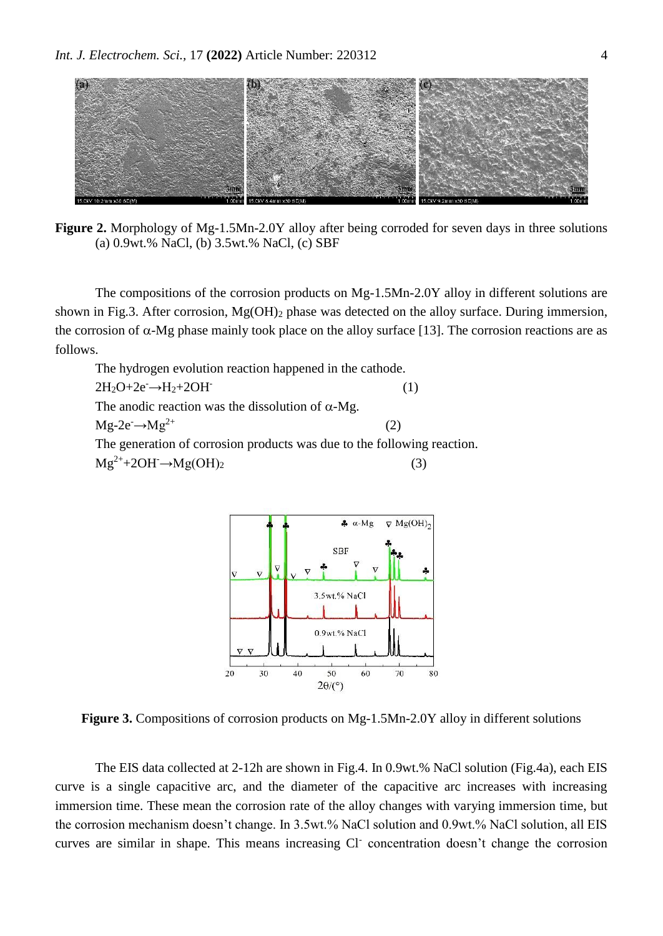

**Figure 2.** Morphology of Mg-1.5Mn-2.0Y alloy after being corroded for seven days in three solutions (a) 0.9wt.% NaCl, (b) 3.5wt.% NaCl, (c) SBF

The compositions of the corrosion products on Mg-1.5Mn-2.0Y alloy in different solutions are shown in Fig.3. After corrosion,  $Mg(OH)$ <sub>2</sub> phase was detected on the alloy surface. During immersion, the corrosion of  $\alpha$ -Mg phase mainly took place on the alloy surface [13]. The corrosion reactions are as follows.

The hydrogen evolution reaction happened in the cathode.  $2H_2O+2e^- \rightarrow H_2+2OH^-$  (1) The anodic reaction was the dissolution of  $\alpha$ -Mg.  $Mg-2e^- \rightarrow Mg^{2+}$  (2) The generation of corrosion products was due to the following reaction.  $Mg^{2+} + 2OH \rightarrow Mg(OH)_2$  (3)



**Figure 3.** Compositions of corrosion products on Mg-1.5Mn-2.0Y alloy in different solutions

The EIS data collected at 2-12h are shown in Fig.4. In 0.9wt.% NaCl solution (Fig.4a), each EIS curve is a single capacitive arc, and the diameter of the capacitive arc increases with increasing immersion time. These mean the corrosion rate of the alloy changes with varying immersion time, but the corrosion mechanism doesn't change. In 3.5wt.% NaCl solution and 0.9wt.% NaCl solution, all EIS curves are similar in shape. This means increasing Cl<sup>-</sup> concentration doesn't change the corrosion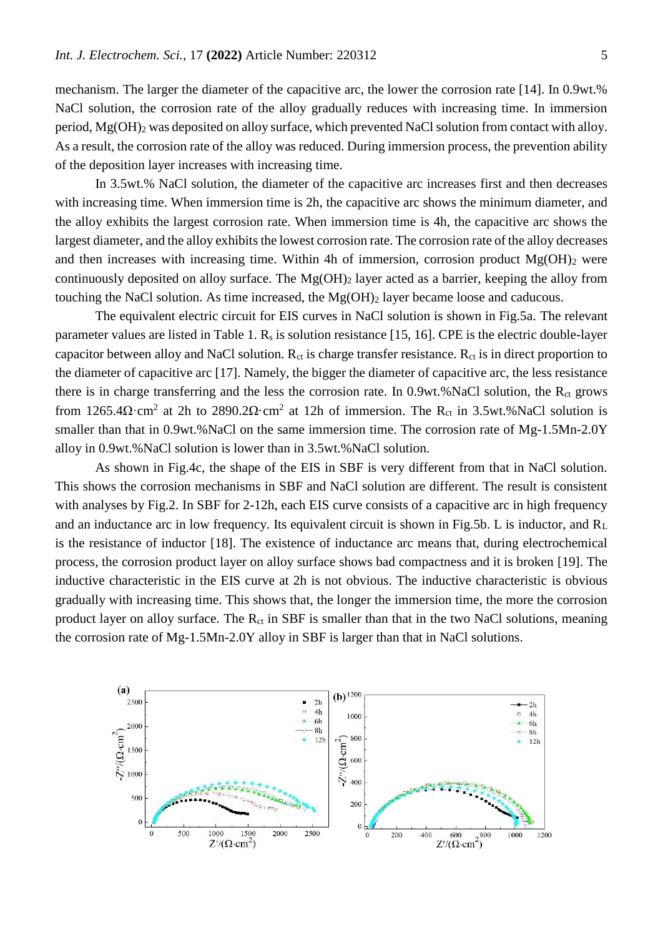mechanism. The larger the diameter of the capacitive arc, the lower the corrosion rate [14]. In 0.9wt.% NaCl solution, the corrosion rate of the alloy gradually reduces with increasing time. In immersion period, Mg(OH)<sub>2</sub> was deposited on alloy surface, which prevented NaCl solution from contact with alloy. As a result, the corrosion rate of the alloy was reduced. During immersion process, the prevention ability of the deposition layer increases with increasing time.

In 3.5wt.% NaCl solution, the diameter of the capacitive arc increases first and then decreases with increasing time. When immersion time is 2h, the capacitive arc shows the minimum diameter, and the alloy exhibits the largest corrosion rate. When immersion time is 4h, the capacitive arc shows the largest diameter, and the alloy exhibits the lowest corrosion rate. The corrosion rate of the alloy decreases and then increases with increasing time. Within 4h of immersion, corrosion product  $Mg(OH)$ <sub>2</sub> were continuously deposited on alloy surface. The  $Mg(OH)_2$  layer acted as a barrier, keeping the alloy from touching the NaCl solution. As time increased, the  $Mg(OH)$ <sub>2</sub> layer became loose and caducous.

The equivalent electric circuit for EIS curves in NaCl solution is shown in Fig.5a. The relevant parameter values are listed in Table 1.  $R_s$  is solution resistance [15, 16]. CPE is the electric double-layer capacitor between alloy and NaCl solution.  $R_{ct}$  is charge transfer resistance.  $R_{ct}$  is in direct proportion to the diameter of capacitive arc [17]. Namely, the bigger the diameter of capacitive arc, the less resistance there is in charge transferring and the less the corrosion rate. In  $0.9wt$ .%NaCl solution, the  $R<sub>ct</sub>$  grows from 1265.4 $\Omega$ ·cm<sup>2</sup> at 2h to 2890.2 $\Omega$ ·cm<sup>2</sup> at 12h of immersion. The R<sub>ct</sub> in 3.5wt.%NaCl solution is smaller than that in 0.9wt.%NaCl on the same immersion time. The corrosion rate of Mg-1.5Mn-2.0Y alloy in 0.9wt.%NaCl solution is lower than in 3.5wt.%NaCl solution.

As shown in Fig.4c, the shape of the EIS in SBF is very different from that in NaCl solution. This shows the corrosion mechanisms in SBF and NaCl solution are different. The result is consistent with analyses by Fig.2. In SBF for 2-12h, each EIS curve consists of a capacitive arc in high frequency and an inductance arc in low frequency. Its equivalent circuit is shown in Fig.5b. L is inductor, and  $R_L$ is the resistance of inductor [18]. The existence of inductance arc means that, during electrochemical process, the corrosion product layer on alloy surface shows bad compactness and it is broken [19]. The inductive characteristic in the EIS curve at 2h is not obvious. The inductive characteristic is obvious gradually with increasing time. This shows that, the longer the immersion time, the more the corrosion product layer on alloy surface. The R<sub>ct</sub> in SBF is smaller than that in the two NaCl solutions, meaning the corrosion rate of Mg-1.5Mn-2.0Y alloy in SBF is larger than that in NaCl solutions.

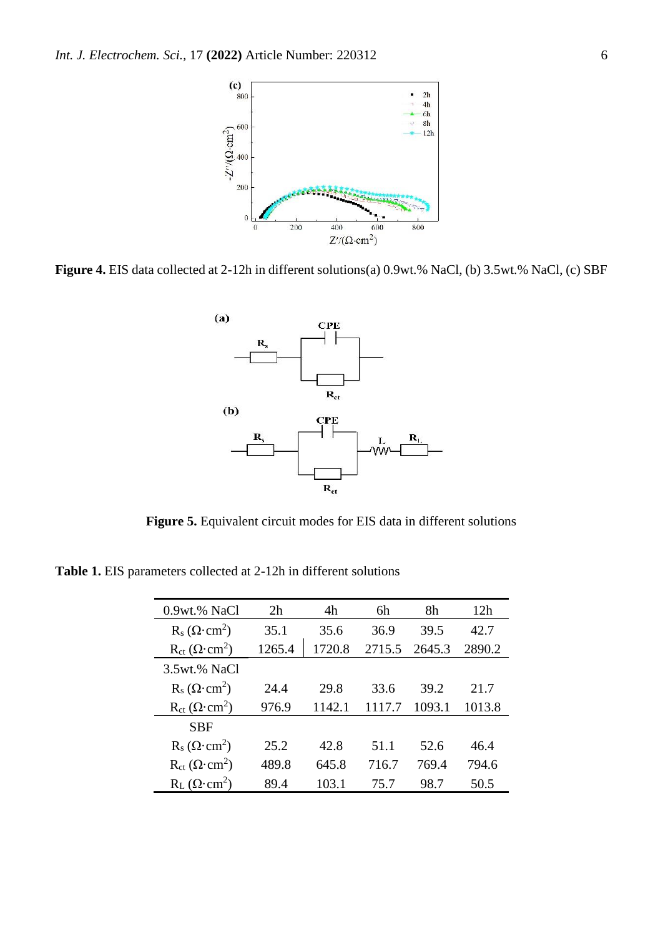

**Figure 4.** EIS data collected at 2-12h in different solutions(a) 0.9wt.% NaCl, (b) 3.5wt.% NaCl, (c) SBF



**Figure 5.** Equivalent circuit modes for EIS data in different solutions

**Table 1.** EIS parameters collected at 2-12h in different solutions

| $0.9wt$ .% NaCl                     | 2h     | 4h     | 6h     | 8h     | 12h    |
|-------------------------------------|--------|--------|--------|--------|--------|
| $R_s(\Omega \cdot \text{cm}^2)$     | 35.1   | 35.6   | 36.9   | 39.5   | 42.7   |
| $R_{ct} (\Omega \cdot \text{cm}^2)$ | 1265.4 | 1720.8 | 2715.5 | 2645.3 | 2890.2 |
| 3.5wt.% NaCl                        |        |        |        |        |        |
| $R_s$ ( $\Omega$ ·cm <sup>2</sup> ) | 24.4   | 29.8   | 33.6   | 39.2   | 21.7   |
| $R_{ct} (\Omega \cdot \text{cm}^2)$ | 976.9  | 1142.1 | 117.7  | 1093.1 | 1013.8 |
| <b>SBF</b>                          |        |        |        |        |        |
| $R_s$ ( $\Omega$ ·cm <sup>2</sup> ) | 25.2   | 42.8   | 51.1   | 52.6   | 46.4   |
| $R_{ct} (\Omega \cdot \text{cm}^2)$ | 489.8  | 645.8  | 716.7  | 769.4  | 794.6  |
| $R_L$ ( $\Omega$ ·cm <sup>2</sup> ) | 89.4   | 103.1  | 75.7   | 98.7   | 50.5   |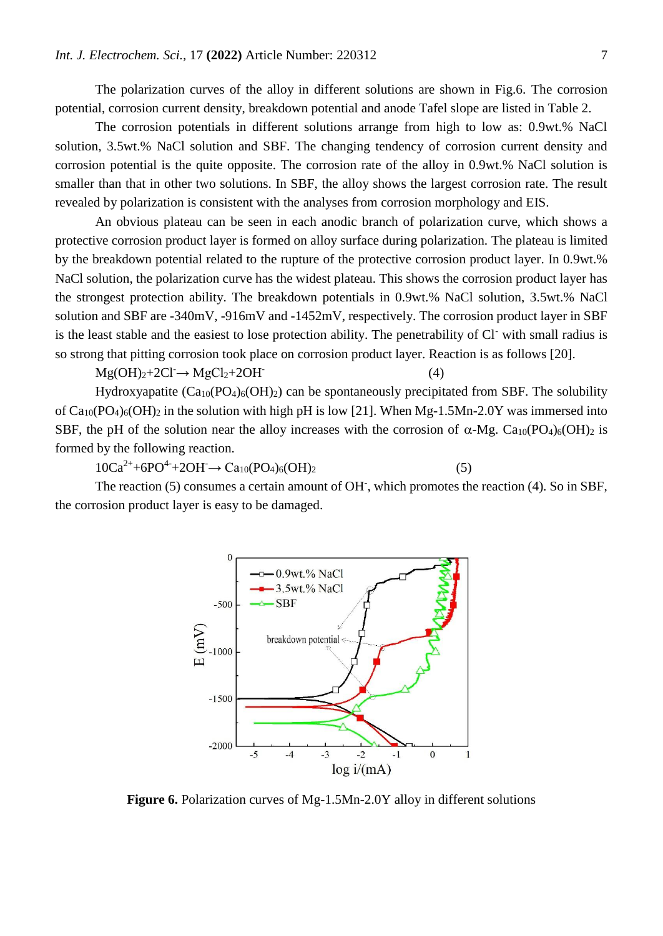The polarization curves of the alloy in different solutions are shown in Fig.6. The corrosion potential, corrosion current density, breakdown potential and anode Tafel slope are listed in Table 2.

The corrosion potentials in different solutions arrange from high to low as: 0.9wt.% NaCl solution, 3.5wt.% NaCl solution and SBF. The changing tendency of corrosion current density and corrosion potential is the quite opposite. The corrosion rate of the alloy in 0.9wt.% NaCl solution is smaller than that in other two solutions. In SBF, the alloy shows the largest corrosion rate. The result revealed by polarization is consistent with the analyses from corrosion morphology and EIS.

An obvious plateau can be seen in each anodic branch of polarization curve, which shows a protective corrosion product layer is formed on alloy surface during polarization. The plateau is limited by the breakdown potential related to the rupture of the protective corrosion product layer. In 0.9wt.% NaCl solution, the polarization curve has the widest plateau. This shows the corrosion product layer has the strongest protection ability. The breakdown potentials in 0.9wt.% NaCl solution, 3.5wt.% NaCl solution and SBF are -340mV, -916mV and -1452mV, respectively. The corrosion product layer in SBF is the least stable and the easiest to lose protection ability. The penetrability of Cl- with small radius is so strong that pitting corrosion took place on corrosion product layer. Reaction is as follows [20].

 $Mg(OH)<sub>2</sub>+2Cl<sup>-</sup>\rightarrow MgCl<sub>2</sub>+2OH<sup>-</sup>$ 

Hydroxyapatite  $(Ca_{10}(PO_4)_6(OH)_2)$  can be spontaneously precipitated from SBF. The solubility of  $Ca_{10}(PO_4)_6(OH)_2$  in the solution with high pH is low [21]. When Mg-1.5Mn-2.0Y was immersed into SBF, the pH of the solution near the alloy increases with the corrosion of  $\alpha$ -Mg. Ca<sub>10</sub>(PO<sub>4</sub>)<sub>6</sub>(OH)<sub>2</sub> is formed by the following reaction.

(4)

 $10Ca^{2+} + 6PO^{4-} + 2OH \rightarrow Ca_{10}(PO_4)_6(OH)_2$  (5)

The reaction (5) consumes a certain amount of OH<sup>-</sup>, which promotes the reaction (4). So in SBF, the corrosion product layer is easy to be damaged.



**Figure 6.** Polarization curves of Mg-1.5Mn-2.0Y alloy in different solutions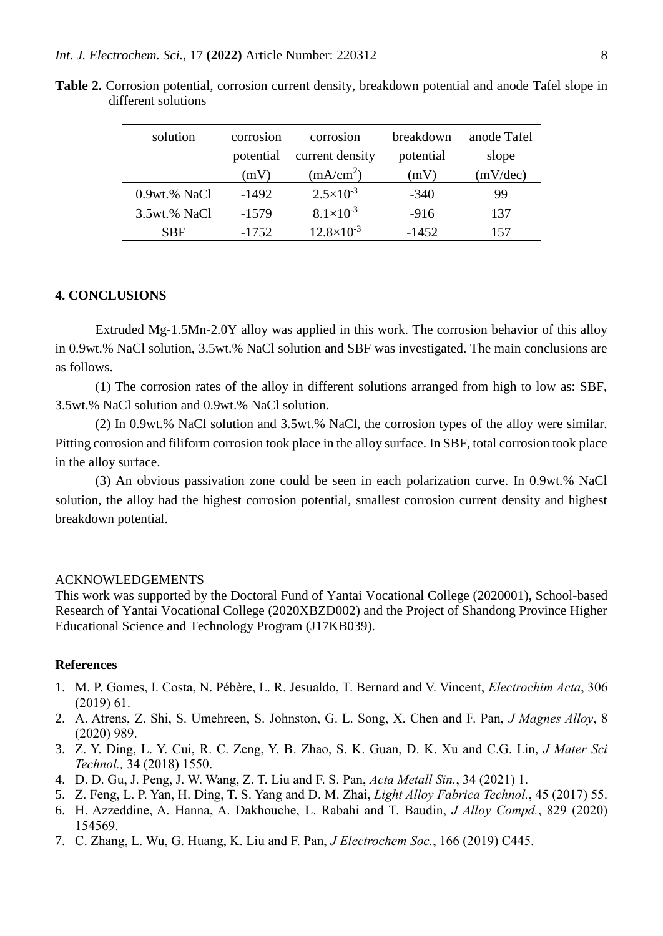| solution     | corrosion | corrosion             | breakdown | anode Tafel |
|--------------|-----------|-----------------------|-----------|-------------|
|              | potential | current density       | potential | slope       |
|              | (mV)      | (mA/cm <sup>2</sup> ) | (mV)      | (mV/dec)    |
| 0.9wt.% NaCl | -1492     | $2.5 \times 10^{-3}$  | $-340$    | 99          |
| 3.5wt.% NaCl | $-1579$   | $8.1 \times 10^{-3}$  | $-916$    | 137         |
| <b>SBF</b>   | $-1752$   | $12.8\times10^{-3}$   | $-1452$   | 157         |

**Table 2.** Corrosion potential, corrosion current density, breakdown potential and anode Tafel slope in different solutions

#### **4. CONCLUSIONS**

Extruded Mg-1.5Mn-2.0Y alloy was applied in this work. The corrosion behavior of this alloy in 0.9wt.% NaCl solution, 3.5wt.% NaCl solution and SBF was investigated. The main conclusions are as follows.

(1) The corrosion rates of the alloy in different solutions arranged from high to low as: SBF, 3.5wt.% NaCl solution and 0.9wt.% NaCl solution.

(2) In 0.9wt.% NaCl solution and 3.5wt.% NaCl, the corrosion types of the alloy were similar. Pitting corrosion and filiform corrosion took place in the alloy surface. In SBF, total corrosion took place in the alloy surface.

(3) An obvious passivation zone could be seen in each polarization curve. In 0.9wt.% NaCl solution, the alloy had the highest corrosion potential, smallest corrosion current density and highest breakdown potential.

#### ACKNOWLEDGEMENTS

This work was supported by the Doctoral Fund of Yantai Vocational College (2020001), School-based Research of Yantai Vocational College (2020XBZD002) and the Project of Shandong Province Higher Educational Science and Technology Program (J17KB039).

#### **References**

- 1. M. P. Gomes, I. Costa, N. Pébère, L. R. Jesualdo, T. Bernard and V. Vincent, *Electrochim Acta*, 306 (2019) 61.
- 2. A. Atrens, Z. Shi, S. Umehreen, S. Johnston, G. L. Song, X. Chen and F. Pan, *J Magnes Alloy*, 8 (2020) 989.
- 3. Z. Y. Ding, L. Y. Cui, R. C. Zeng, Y. B. Zhao, S. K. Guan, D. K. Xu and C.G. Lin, *J Mater Sci Technol.,* 34 (2018) 1550.
- 4. D. D. Gu, J. Peng, J. W. Wang, Z. T. Liu and F. S. Pan, *Acta Metall Sin.*, 34 (2021) 1.
- 5. Z. Feng, L. P. Yan, H. Ding, T. S. Yang and D. M. Zhai, *Light Alloy Fabrica Technol.*, 45 (2017) 55.
- 6. H. Azzeddine, A. Hanna, A. Dakhouche, L. Rabahi and T. Baudin, *J Alloy Compd.*, 829 (2020) 154569.
- 7. C. Zhang, L. Wu, G. Huang, K. Liu and F. Pan, *J Electrochem Soc.*, 166 (2019) C445.